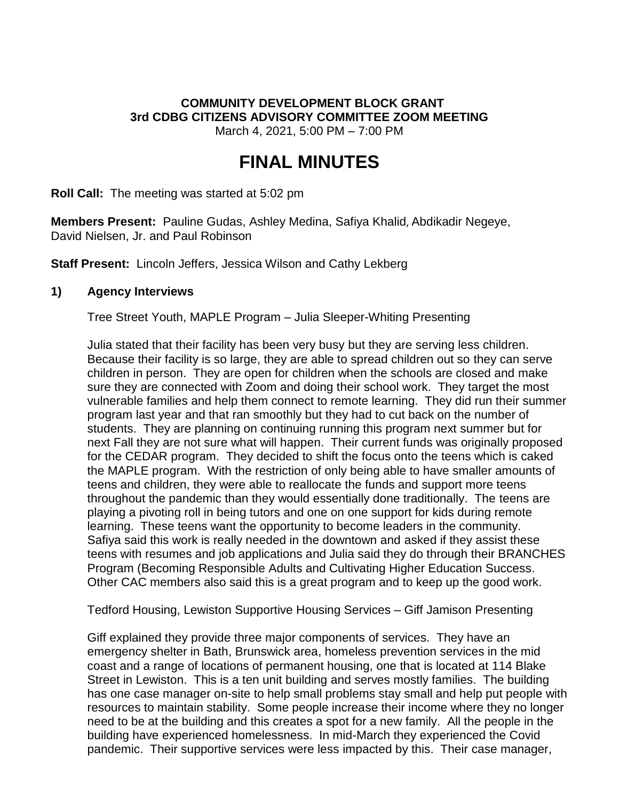## **COMMUNITY DEVELOPMENT BLOCK GRANT 3rd CDBG CITIZENS ADVISORY COMMITTEE ZOOM MEETING**

March 4, 2021, 5:00 PM – 7:00 PM

# **FINAL MINUTES**

**Roll Call:** The meeting was started at 5:02 pm

**Members Present:** Pauline Gudas, Ashley Medina, Safiya Khalid, Abdikadir Negeye, David Nielsen, Jr. and Paul Robinson

**Staff Present:** Lincoln Jeffers, Jessica Wilson and Cathy Lekberg

#### **1) Agency Interviews**

Tree Street Youth, MAPLE Program – Julia Sleeper-Whiting Presenting

Julia stated that their facility has been very busy but they are serving less children. Because their facility is so large, they are able to spread children out so they can serve children in person. They are open for children when the schools are closed and make sure they are connected with Zoom and doing their school work. They target the most vulnerable families and help them connect to remote learning. They did run their summer program last year and that ran smoothly but they had to cut back on the number of students. They are planning on continuing running this program next summer but for next Fall they are not sure what will happen. Their current funds was originally proposed for the CEDAR program. They decided to shift the focus onto the teens which is caked the MAPLE program. With the restriction of only being able to have smaller amounts of teens and children, they were able to reallocate the funds and support more teens throughout the pandemic than they would essentially done traditionally. The teens are playing a pivoting roll in being tutors and one on one support for kids during remote learning. These teens want the opportunity to become leaders in the community. Safiya said this work is really needed in the downtown and asked if they assist these teens with resumes and job applications and Julia said they do through their BRANCHES Program (Becoming Responsible Adults and Cultivating Higher Education Success. Other CAC members also said this is a great program and to keep up the good work.

Tedford Housing, Lewiston Supportive Housing Services – Giff Jamison Presenting

Giff explained they provide three major components of services. They have an emergency shelter in Bath, Brunswick area, homeless prevention services in the mid coast and a range of locations of permanent housing, one that is located at 114 Blake Street in Lewiston. This is a ten unit building and serves mostly families. The building has one case manager on-site to help small problems stay small and help put people with resources to maintain stability. Some people increase their income where they no longer need to be at the building and this creates a spot for a new family. All the people in the building have experienced homelessness. In mid-March they experienced the Covid pandemic. Their supportive services were less impacted by this. Their case manager,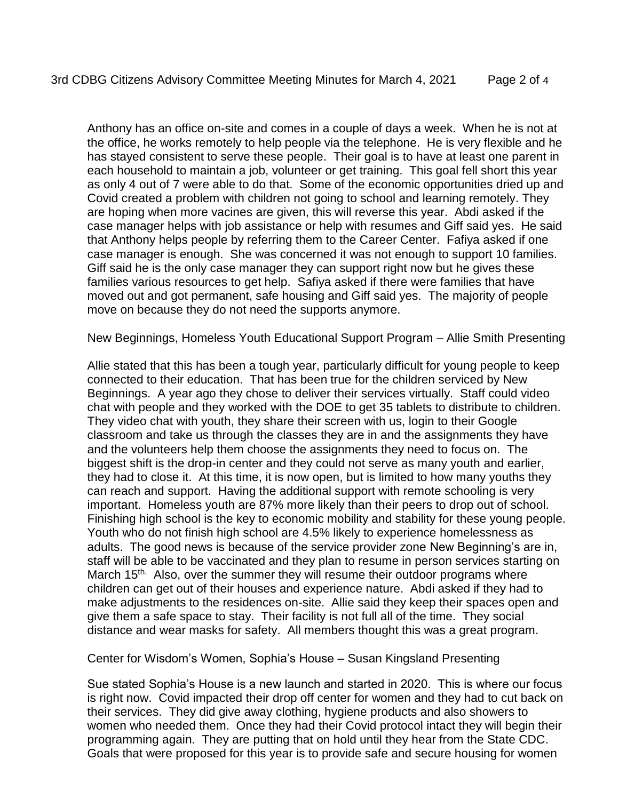Anthony has an office on-site and comes in a couple of days a week. When he is not at the office, he works remotely to help people via the telephone. He is very flexible and he has stayed consistent to serve these people. Their goal is to have at least one parent in each household to maintain a job, volunteer or get training. This goal fell short this year as only 4 out of 7 were able to do that. Some of the economic opportunities dried up and Covid created a problem with children not going to school and learning remotely. They are hoping when more vacines are given, this will reverse this year. Abdi asked if the case manager helps with job assistance or help with resumes and Giff said yes. He said that Anthony helps people by referring them to the Career Center. Fafiya asked if one case manager is enough. She was concerned it was not enough to support 10 families. Giff said he is the only case manager they can support right now but he gives these families various resources to get help. Safiya asked if there were families that have moved out and got permanent, safe housing and Giff said yes. The majority of people move on because they do not need the supports anymore.

New Beginnings, Homeless Youth Educational Support Program – Allie Smith Presenting

Allie stated that this has been a tough year, particularly difficult for young people to keep connected to their education. That has been true for the children serviced by New Beginnings. A year ago they chose to deliver their services virtually. Staff could video chat with people and they worked with the DOE to get 35 tablets to distribute to children. They video chat with youth, they share their screen with us, login to their Google classroom and take us through the classes they are in and the assignments they have and the volunteers help them choose the assignments they need to focus on. The biggest shift is the drop-in center and they could not serve as many youth and earlier, they had to close it. At this time, it is now open, but is limited to how many youths they can reach and support. Having the additional support with remote schooling is very important. Homeless youth are 87% more likely than their peers to drop out of school. Finishing high school is the key to economic mobility and stability for these young people. Youth who do not finish high school are 4.5% likely to experience homelessness as adults. The good news is because of the service provider zone New Beginning's are in, staff will be able to be vaccinated and they plan to resume in person services starting on March 15<sup>th.</sup> Also, over the summer they will resume their outdoor programs where children can get out of their houses and experience nature. Abdi asked if they had to make adjustments to the residences on-site. Allie said they keep their spaces open and give them a safe space to stay. Their facility is not full all of the time. They social distance and wear masks for safety. All members thought this was a great program.

Center for Wisdom's Women, Sophia's House – Susan Kingsland Presenting

Sue stated Sophia's House is a new launch and started in 2020. This is where our focus is right now. Covid impacted their drop off center for women and they had to cut back on their services. They did give away clothing, hygiene products and also showers to women who needed them. Once they had their Covid protocol intact they will begin their programming again. They are putting that on hold until they hear from the State CDC. Goals that were proposed for this year is to provide safe and secure housing for women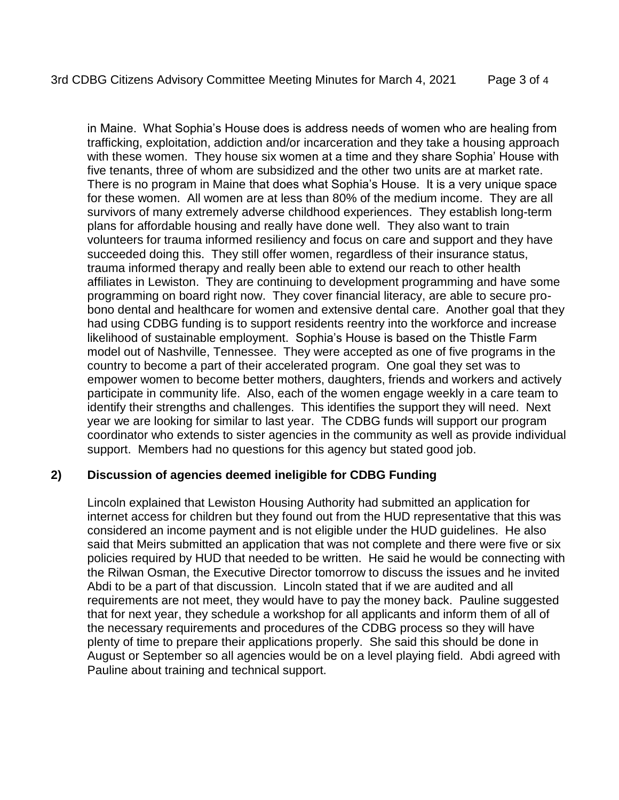in Maine. What Sophia's House does is address needs of women who are healing from trafficking, exploitation, addiction and/or incarceration and they take a housing approach with these women. They house six women at a time and they share Sophia' House with five tenants, three of whom are subsidized and the other two units are at market rate. There is no program in Maine that does what Sophia's House. It is a very unique space for these women. All women are at less than 80% of the medium income. They are all survivors of many extremely adverse childhood experiences. They establish long-term plans for affordable housing and really have done well. They also want to train volunteers for trauma informed resiliency and focus on care and support and they have succeeded doing this. They still offer women, regardless of their insurance status, trauma informed therapy and really been able to extend our reach to other health affiliates in Lewiston. They are continuing to development programming and have some programming on board right now. They cover financial literacy, are able to secure probono dental and healthcare for women and extensive dental care. Another goal that they had using CDBG funding is to support residents reentry into the workforce and increase likelihood of sustainable employment. Sophia's House is based on the Thistle Farm model out of Nashville, Tennessee. They were accepted as one of five programs in the country to become a part of their accelerated program. One goal they set was to empower women to become better mothers, daughters, friends and workers and actively participate in community life. Also, each of the women engage weekly in a care team to identify their strengths and challenges. This identifies the support they will need. Next year we are looking for similar to last year. The CDBG funds will support our program coordinator who extends to sister agencies in the community as well as provide individual support. Members had no questions for this agency but stated good job.

#### **2) Discussion of agencies deemed ineligible for CDBG Funding**

Lincoln explained that Lewiston Housing Authority had submitted an application for internet access for children but they found out from the HUD representative that this was considered an income payment and is not eligible under the HUD guidelines. He also said that Meirs submitted an application that was not complete and there were five or six policies required by HUD that needed to be written. He said he would be connecting with the Rilwan Osman, the Executive Director tomorrow to discuss the issues and he invited Abdi to be a part of that discussion. Lincoln stated that if we are audited and all requirements are not meet, they would have to pay the money back. Pauline suggested that for next year, they schedule a workshop for all applicants and inform them of all of the necessary requirements and procedures of the CDBG process so they will have plenty of time to prepare their applications properly. She said this should be done in August or September so all agencies would be on a level playing field. Abdi agreed with Pauline about training and technical support.